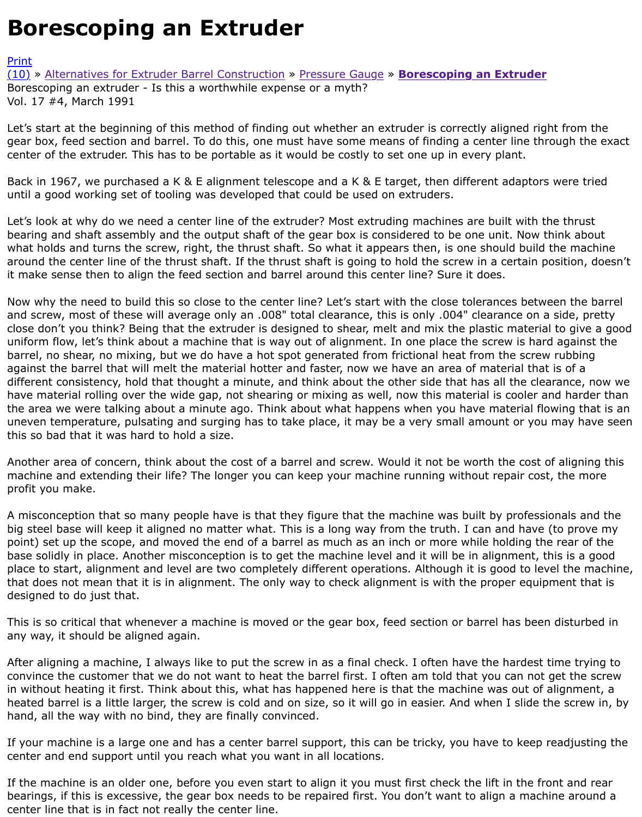Let's start at the beginning of this method of finding out whether an extruder is correctly aligned rig gear box, feed section and barrel. To do this, one must have some means of finding a center line th center of the extruder. This has to be portable as it would be costly to set one up in every plant.

[Back](http://extrusionwiki.com/wiki/CC-V17-4-A.ashx#) i[n 1967, we purchased a K & E alignment teles](http://extrusionwiki.com/wiki/CC-V17-3-B.ashx)c[ope and a K & E](http://extrusionwiki.com/wiki/CC-V17-3-C.ashx) ta[rget, then different adaptors](http://extrusionwiki.com/wiki/CC-V17-4-A.ashx) until a good working set of tooling was developed that could be used on extruders.

Let's look at why do we need a center line of the extruder? Most extruding machines are built with t bearing and shaft assembly and the output shaft of the gear box is considered to be one unit. Now t what holds and turns the screw, right, the thrust shaft. So what it appears then, is one should build around the center line of the thrust shaft. If the thrust shaft is going to hold the screw in a certain position, it make sense then to align the feed section and barrel around this center line? Sure it does.

Now why the need to build this so close to the center line? Let's start with the close tolerances betw and screw, most of these will average only an .008" total clearance, this is only .004" clearance on a close don't you think? Being that the extruder is designed to shear, melt and mix the plastic materia uniform flow, let's think about a machine that is way out of alignment. In one place the screw is har barrel, no shear, no mixing, but we do have a hot spot generated from frictional heat from the screv against the barrel that will melt the material hotter and faster, now we have an area of material tha different consistency, hold that thought a minute, and think about the other side that has all the cle have material rolling over the wide gap, not shearing or mixing as well, now this material is cooler and harder the area we were talking about a minute ago. Think about what happens when you have material flow uneven temperature, pulsating and surging has to take place, it may be a very small amount or you this so bad that it was hard to hold a size.

Another area of concern, think about the cost of a barrel and screw. Would it not be worth the cost machine and extending their life? The longer you can keep your machine running without repair cos profit you make.

A misconception that so many people have is that they figure that the machine was built by profess big steel base will keep it aligned no matter what. This is a long way from the truth. I can and have point) set up the scope, and moved the end of a barrel as much as an inch or more while holding th base solidly in place. Another misconception is to get the machine level and it will be in alignment, the place to start, alignment and level are two completely different operations. Although it is good to let that does not mean that it is in alignment. The only way to check alignment is with the proper equip designed to do just that.

This is so critical that whenever a machine is moved or the gear box, feed section or barrel has been any way, it should be aligned again.

After aligning a machine, I always like to put the screw in as a final check. I often have the hardest convince the customer that we do not want to heat the barrel first. I often am told that you can not in without heating it first. Think about this, what has happened here is that the machine was out of heated barrel is a little larger, the screw is cold and on size, so it will go in easier. And when I slide t hand, all the way with no bind, they are finally convinced.

If your machine is a large one and has a center barrel support, this can be tricky, you have to keep center and end support until you reach what you want in all locations.

If the machine is an older one, before you even start to align it you must first check the lift in the fr bearings, if this is excessive, the gear box needs to be repaired first. You don't want to align a mach center line that is in fact not really the center line.